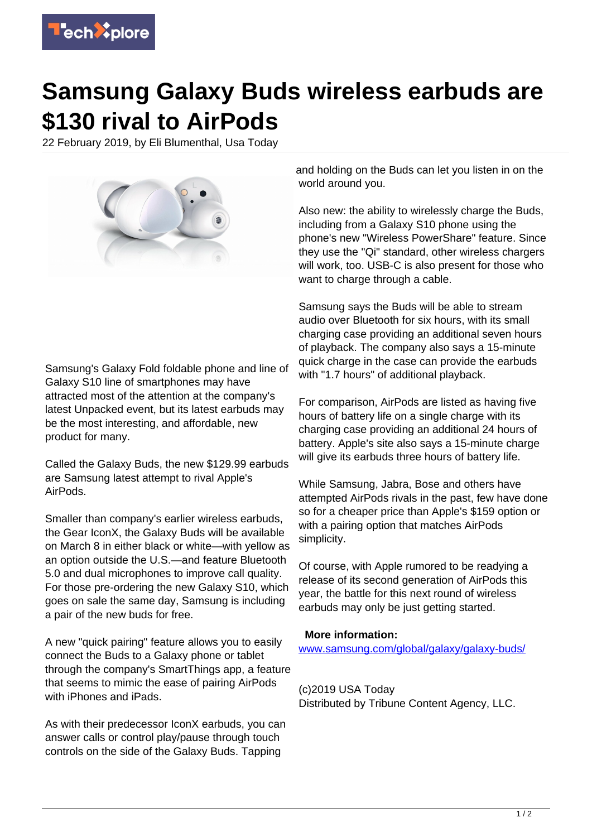

## **Samsung Galaxy Buds wireless earbuds are \$130 rival to AirPods**

22 February 2019, by Eli Blumenthal, Usa Today



Samsung's Galaxy Fold foldable phone and line of Galaxy S10 line of smartphones may have attracted most of the attention at the company's latest Unpacked event, but its latest earbuds may be the most interesting, and affordable, new product for many.

Called the Galaxy Buds, the new \$129.99 earbuds are Samsung latest attempt to rival Apple's AirPods.

Smaller than company's earlier wireless earbuds, the Gear IconX, the Galaxy Buds will be available on March 8 in either black or white—with yellow as an option outside the U.S.—and feature Bluetooth 5.0 and dual microphones to improve call quality. For those pre-ordering the new Galaxy S10, which goes on sale the same day, Samsung is including a pair of the new buds for free.

A new "quick pairing" feature allows you to easily connect the Buds to a Galaxy phone or tablet through the company's SmartThings app, a feature that seems to mimic the ease of pairing AirPods with iPhones and iPads.

As with their predecessor IconX earbuds, you can answer calls or control play/pause through touch controls on the side of the Galaxy Buds. Tapping

and holding on the Buds can let you listen in on the world around you.

Also new: the ability to wirelessly charge the Buds, including from a Galaxy S10 phone using the phone's new "Wireless PowerShare" feature. Since they use the "Qi" standard, other wireless chargers will work, too. USB-C is also present for those who want to charge through a cable.

Samsung says the Buds will be able to stream audio over Bluetooth for six hours, with its small charging case providing an additional seven hours of playback. The company also says a 15-minute quick charge in the case can provide the earbuds with "1.7 hours" of additional playback.

For comparison, AirPods are listed as having five hours of battery life on a single charge with its charging case providing an additional 24 hours of battery. Apple's site also says a 15-minute charge will give its earbuds three hours of battery life.

While Samsung, Jabra, Bose and others have attempted AirPods rivals in the past, few have done so for a cheaper price than Apple's \$159 option or with a pairing option that matches AirPods simplicity.

Of course, with Apple rumored to be readying a release of its second generation of AirPods this year, the battle for this next round of wireless earbuds may only be just getting started.

## **More information:**

[www.samsung.com/global/galaxy/galaxy-buds/](https://www.samsung.com/global/galaxy/galaxy-buds/)

(c)2019 USA Today Distributed by Tribune Content Agency, LLC.